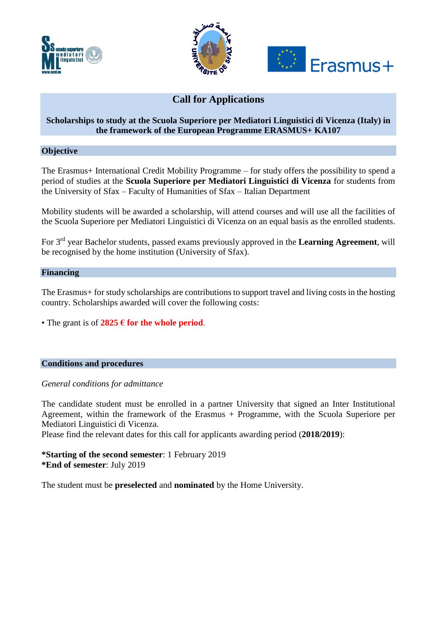





# **Call for Applications**

## **Scholarships to study at the Scuola Superiore per Mediatori Linguistici di Vicenza (Italy) in the framework of the European Programme ERASMUS+ KA107**

**Objective**

The Erasmus+ International Credit Mobility Programme – for study offers the possibility to spend a period of studies at the **Scuola Superiore per Mediatori Linguistici di Vicenza** for students from the University of Sfax – Faculty of Humanities of Sfax – Italian Department

Mobility students will be awarded a scholarship, will attend courses and will use all the facilities of the Scuola Superiore per Mediatori Linguistici di Vicenza on an equal basis as the enrolled students.

For 3 rd year Bachelor students, passed exams previously approved in the **Learning Agreement**, will be recognised by the home institution (University of Sfax).

### **Financing**

The Erasmus+ for study scholarships are contributions to support travel and living costs in the hosting country. Scholarships awarded will cover the following costs:

• The grant is of **2825 € for the whole period**.

#### **Conditions and procedures**

#### *General conditions for admittance*

The candidate student must be enrolled in a partner University that signed an Inter Institutional Agreement, within the framework of the Erasmus + Programme, with the Scuola Superiore per Mediatori Linguistici di Vicenza.

Please find the relevant dates for this call for applicants awarding period (**2018/2019**):

**\*Starting of the second semester**: 1 February 2019 **\*End of semester**: July 2019

The student must be **preselected** and **nominated** by the Home University.